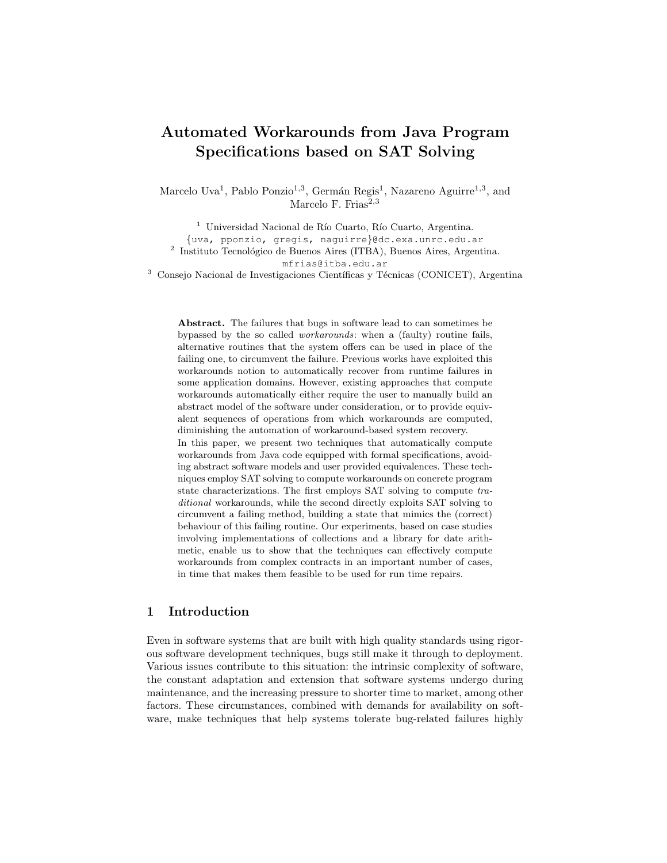# Automated Workarounds from Java Program Specifications based on SAT Solving

Marcelo Uva<sup>1</sup>, Pablo Ponzio<sup>1,3</sup>, Germán Regis<sup>1</sup>, Nazareno Aguirre<sup>1,3</sup>, and Marcelo F. Frias<sup> $2,3$ </sup>

<sup>1</sup> Universidad Nacional de Río Cuarto, Río Cuarto, Argentina. {uva, pponzio, gregis, naguirre}@dc.exa.unrc.edu.ar <sup>2</sup> Instituto Tecnológico de Buenos Aires (ITBA), Buenos Aires, Argentina. mfrias@itba.edu.ar

 $^3$  Consejo Nacional de Investigaciones Científicas y Técnicas (CONICET), Argentina

Abstract. The failures that bugs in software lead to can sometimes be bypassed by the so called workarounds: when a (faulty) routine fails, alternative routines that the system offers can be used in place of the failing one, to circumvent the failure. Previous works have exploited this workarounds notion to automatically recover from runtime failures in some application domains. However, existing approaches that compute workarounds automatically either require the user to manually build an abstract model of the software under consideration, or to provide equivalent sequences of operations from which workarounds are computed, diminishing the automation of workaround-based system recovery. In this paper, we present two techniques that automatically compute workarounds from Java code equipped with formal specifications, avoiding abstract software models and user provided equivalences. These techniques employ SAT solving to compute workarounds on concrete program state characterizations. The first employs SAT solving to compute traditional workarounds, while the second directly exploits SAT solving to circumvent a failing method, building a state that mimics the (correct) behaviour of this failing routine. Our experiments, based on case studies involving implementations of collections and a library for date arithmetic, enable us to show that the techniques can effectively compute workarounds from complex contracts in an important number of cases, in time that makes them feasible to be used for run time repairs.

## 1 Introduction

Even in software systems that are built with high quality standards using rigorous software development techniques, bugs still make it through to deployment. Various issues contribute to this situation: the intrinsic complexity of software, the constant adaptation and extension that software systems undergo during maintenance, and the increasing pressure to shorter time to market, among other factors. These circumstances, combined with demands for availability on software, make techniques that help systems tolerate bug-related failures highly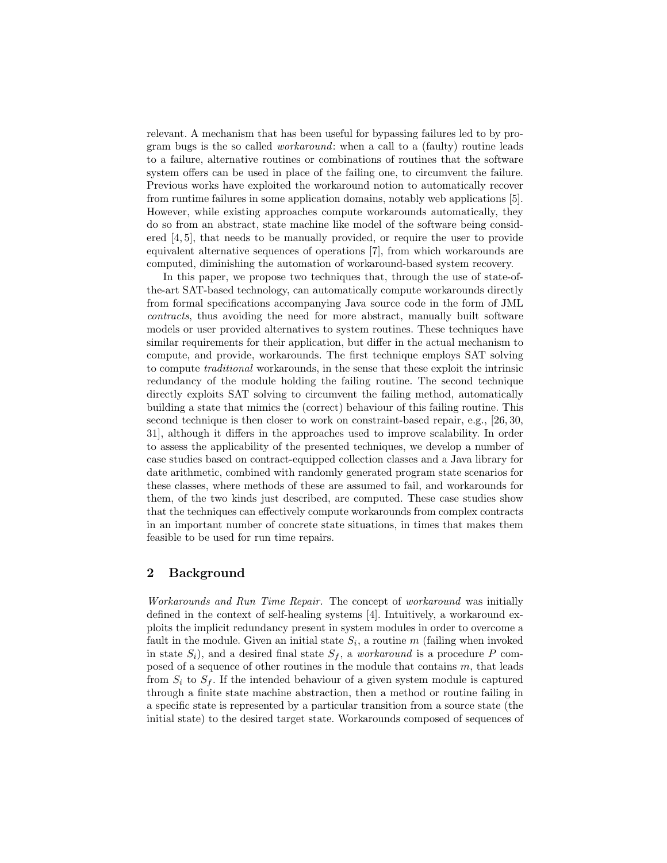relevant. A mechanism that has been useful for bypassing failures led to by program bugs is the so called workaround: when a call to a (faulty) routine leads to a failure, alternative routines or combinations of routines that the software system offers can be used in place of the failing one, to circumvent the failure. Previous works have exploited the workaround notion to automatically recover from runtime failures in some application domains, notably web applications [5]. However, while existing approaches compute workarounds automatically, they do so from an abstract, state machine like model of the software being considered [4, 5], that needs to be manually provided, or require the user to provide equivalent alternative sequences of operations [7], from which workarounds are computed, diminishing the automation of workaround-based system recovery.

In this paper, we propose two techniques that, through the use of state-ofthe-art SAT-based technology, can automatically compute workarounds directly from formal specifications accompanying Java source code in the form of JML contracts, thus avoiding the need for more abstract, manually built software models or user provided alternatives to system routines. These techniques have similar requirements for their application, but differ in the actual mechanism to compute, and provide, workarounds. The first technique employs SAT solving to compute traditional workarounds, in the sense that these exploit the intrinsic redundancy of the module holding the failing routine. The second technique directly exploits SAT solving to circumvent the failing method, automatically building a state that mimics the (correct) behaviour of this failing routine. This second technique is then closer to work on constraint-based repair, e.g., [26, 30, 31], although it differs in the approaches used to improve scalability. In order to assess the applicability of the presented techniques, we develop a number of case studies based on contract-equipped collection classes and a Java library for date arithmetic, combined with randomly generated program state scenarios for these classes, where methods of these are assumed to fail, and workarounds for them, of the two kinds just described, are computed. These case studies show that the techniques can effectively compute workarounds from complex contracts in an important number of concrete state situations, in times that makes them feasible to be used for run time repairs.

# 2 Background

Workarounds and Run Time Repair. The concept of workaround was initially defined in the context of self-healing systems [4]. Intuitively, a workaround exploits the implicit redundancy present in system modules in order to overcome a fault in the module. Given an initial state  $S_i$ , a routine m (failing when invoked in state  $S_i$ ), and a desired final state  $S_f$ , a *workaround* is a procedure P composed of a sequence of other routines in the module that contains  $m$ , that leads from  $S_i$  to  $S_f$ . If the intended behaviour of a given system module is captured through a finite state machine abstraction, then a method or routine failing in a specific state is represented by a particular transition from a source state (the initial state) to the desired target state. Workarounds composed of sequences of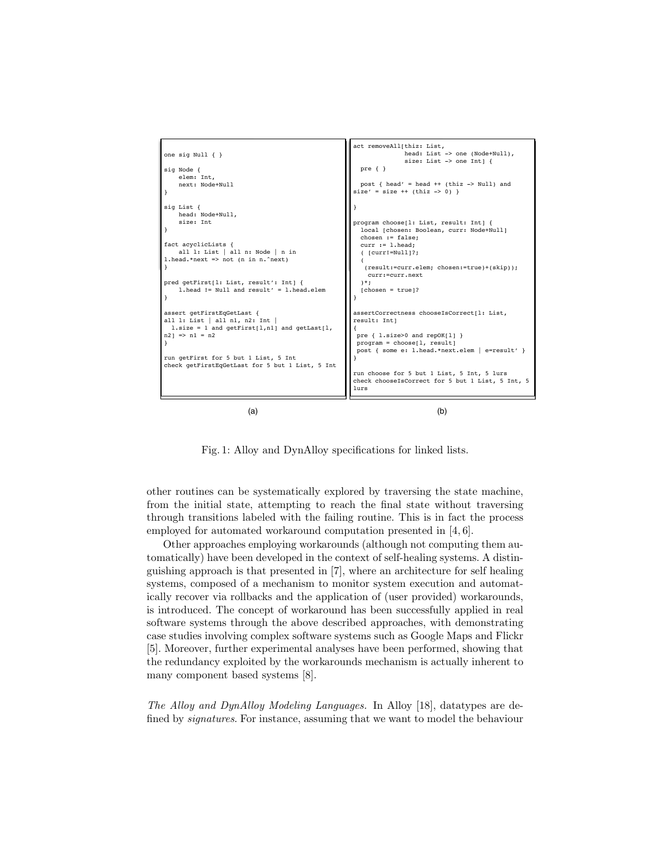```
one sig Null { }
sig Node {
    elem: Int,
     next: Node+Null
}
sig List {
    head: Node+Null,
    size: Int
}
fact acyclicLists {
    all l: List | all n: Node | n in 
l.head.*next => not (n in n.^next)<br>}
pred getFirst[l: List, result': Int] {
     l.head != Null and result' = l.head.elem
} 
assert getFirstEqGetLast {
all l: List | all n1, n2: Int |
  1. size = 1 and getFirst[1,n1] and getLast[1,n2] => n1 = n2}
run getFirst for 5 but 1 List, 5 Int
check getFirstEqGetLast for 5 but 1 List, 5 Int
                                                     act removeAll[thiz: List,
                                                                   head: List -> one (Node+Null),
                                                                    size: List -> one Int] {
                                                        pre { }
                                                        post { head' = head ++ (thiz -> Null) and 
                                                     size' = size ++ (this -> 0)}
                                                     }
                                                     program choose[1: List, result: Int] {
                                                        local [chosen: Boolean, curr: Node+Null]
                                                        chosen := false;
                                                       curr := 1.head;
                                                        ( [curr!=Null]?;
                                                     \overline{\phantom{a}} (result:=curr.elem; chosen:=true)+(skip));
                                                          curr:=curr.next
                                                        )*;
                                                        [chosen = true]?
                                                     } 
                                                      assertCorrectness chooseIsCorrect[l: List, 
                                                     result: Int]
                                                     {
                                                       pre { l.size>0 and repOK[l] }
                                                      program = choose[1, result] post { some e: l.head.*next.elem | e=result' }
                                                     } 
                                                     run choose for 5 but 1 List, 5 Int, 5 lurs
                                                     check chooseIsCorrect for 5 but 1 List, 5 Int, 5 
                                                     lurs
                        (a) (b)
```
Fig. 1: Alloy and DynAlloy specifications for linked lists.

other routines can be systematically explored by traversing the state machine, from the initial state, attempting to reach the final state without traversing through transitions labeled with the failing routine. This is in fact the process employed for automated workaround computation presented in [4, 6].

Other approaches employing workarounds (although not computing them automatically) have been developed in the context of self-healing systems. A distinguishing approach is that presented in [7], where an architecture for self healing systems, composed of a mechanism to monitor system execution and automatically recover via rollbacks and the application of (user provided) workarounds, is introduced. The concept of workaround has been successfully applied in real software systems through the above described approaches, with demonstrating case studies involving complex software systems such as Google Maps and Flickr [5]. Moreover, further experimental analyses have been performed, showing that the redundancy exploited by the workarounds mechanism is actually inherent to many component based systems [8].

The Alloy and DynAlloy Modeling Languages. In Alloy [18], datatypes are defined by signatures. For instance, assuming that we want to model the behaviour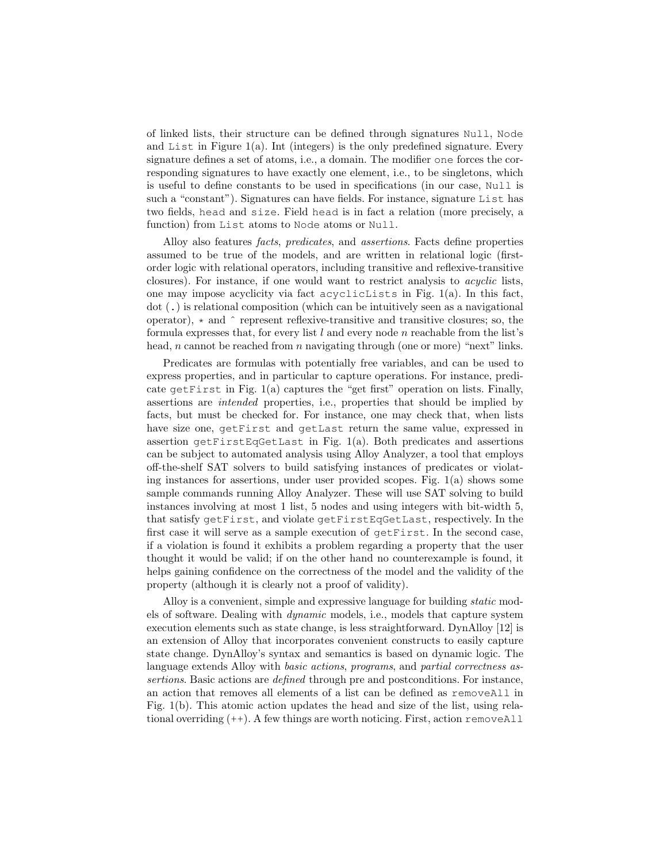of linked lists, their structure can be defined through signatures Null, Node and List in Figure  $1(a)$ . Int (integers) is the only predefined signature. Every signature defines a set of atoms, i.e., a domain. The modifier one forces the corresponding signatures to have exactly one element, i.e., to be singletons, which is useful to define constants to be used in specifications (in our case, Null is such a "constant"). Signatures can have fields. For instance, signature List has two fields, head and size. Field head is in fact a relation (more precisely, a function) from List atoms to Node atoms or Null.

Alloy also features facts, predicates, and assertions. Facts define properties assumed to be true of the models, and are written in relational logic (firstorder logic with relational operators, including transitive and reflexive-transitive closures). For instance, if one would want to restrict analysis to acyclic lists, one may impose acyclicity via fact acyclicLists in Fig.  $1(a)$ . In this fact, dot (.) is relational composition (which can be intuitively seen as a navigational operator),  $\star$  and  $\hat{ }$  represent reflexive-transitive and transitive closures; so, the formula expresses that, for every list  $l$  and every node n reachable from the list's head,  $n$  cannot be reached from  $n$  navigating through (one or more) "next" links.

Predicates are formulas with potentially free variables, and can be used to express properties, and in particular to capture operations. For instance, predicate getFirst in Fig.  $1(a)$  captures the "get first" operation on lists. Finally, assertions are intended properties, i.e., properties that should be implied by facts, but must be checked for. For instance, one may check that, when lists have size one, getFirst and getLast return the same value, expressed in assertion  $getFirstEqGetLast$  in Fig. 1(a). Both predicates and assertions can be subject to automated analysis using Alloy Analyzer, a tool that employs off-the-shelf SAT solvers to build satisfying instances of predicates or violating instances for assertions, under user provided scopes. Fig. 1(a) shows some sample commands running Alloy Analyzer. These will use SAT solving to build instances involving at most 1 list, 5 nodes and using integers with bit-width 5, that satisfy getFirst, and violate getFirstEqGetLast, respectively. In the first case it will serve as a sample execution of getFirst. In the second case, if a violation is found it exhibits a problem regarding a property that the user thought it would be valid; if on the other hand no counterexample is found, it helps gaining confidence on the correctness of the model and the validity of the property (although it is clearly not a proof of validity).

Alloy is a convenient, simple and expressive language for building static models of software. Dealing with dynamic models, i.e., models that capture system execution elements such as state change, is less straightforward. DynAlloy [12] is an extension of Alloy that incorporates convenient constructs to easily capture state change. DynAlloy's syntax and semantics is based on dynamic logic. The language extends Alloy with basic actions, programs, and partial correctness assertions. Basic actions are defined through pre and postconditions. For instance, an action that removes all elements of a list can be defined as removeAll in Fig. 1(b). This atomic action updates the head and size of the list, using relational overriding (++). A few things are worth noticing. First, action removeAll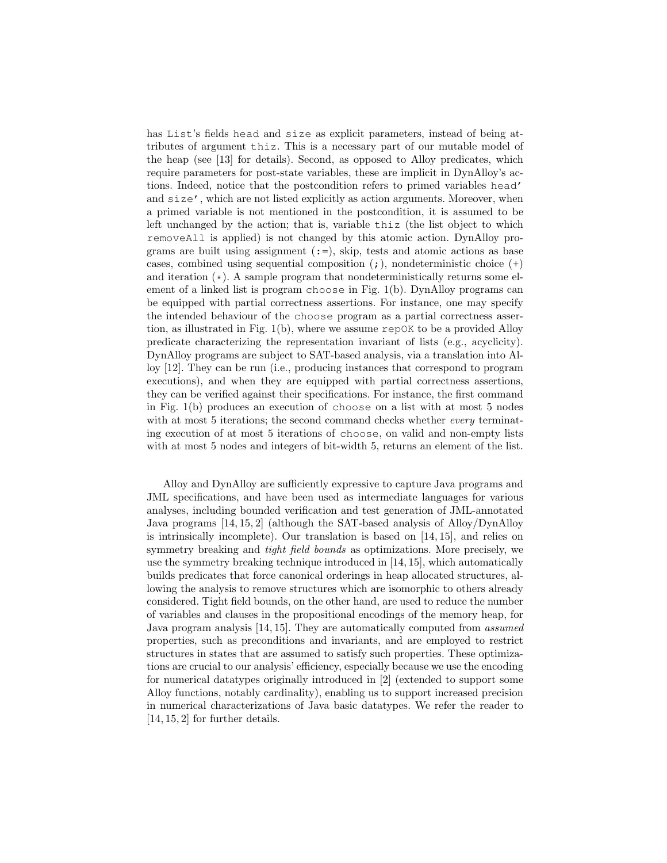has List's fields head and size as explicit parameters, instead of being attributes of argument thiz. This is a necessary part of our mutable model of the heap (see [13] for details). Second, as opposed to Alloy predicates, which require parameters for post-state variables, these are implicit in DynAlloy's actions. Indeed, notice that the postcondition refers to primed variables head' and size', which are not listed explicitly as action arguments. Moreover, when a primed variable is not mentioned in the postcondition, it is assumed to be left unchanged by the action; that is, variable thiz (the list object to which removeAll is applied) is not changed by this atomic action. DynAlloy programs are built using assignment  $(:=)$ , skip, tests and atomic actions as base cases, combined using sequential composition  $(i)$ , nondeterministic choice  $(+)$ and iteration  $(x)$ . A sample program that nondeterministically returns some element of a linked list is program choose in Fig. 1(b). DynAlloy programs can be equipped with partial correctness assertions. For instance, one may specify the intended behaviour of the choose program as a partial correctness assertion, as illustrated in Fig. 1(b), where we assume repOK to be a provided Alloy predicate characterizing the representation invariant of lists (e.g., acyclicity). DynAlloy programs are subject to SAT-based analysis, via a translation into Alloy [12]. They can be run (i.e., producing instances that correspond to program executions), and when they are equipped with partial correctness assertions, they can be verified against their specifications. For instance, the first command in Fig. 1(b) produces an execution of choose on a list with at most 5 nodes with at most 5 iterations; the second command checks whether *every* terminating execution of at most 5 iterations of choose, on valid and non-empty lists with at most 5 nodes and integers of bit-width 5, returns an element of the list.

Alloy and DynAlloy are sufficiently expressive to capture Java programs and JML specifications, and have been used as intermediate languages for various analyses, including bounded verification and test generation of JML-annotated Java programs [14, 15, 2] (although the SAT-based analysis of Alloy/DynAlloy is intrinsically incomplete). Our translation is based on [14, 15], and relies on symmetry breaking and *tight field bounds* as optimizations. More precisely, we use the symmetry breaking technique introduced in [14, 15], which automatically builds predicates that force canonical orderings in heap allocated structures, allowing the analysis to remove structures which are isomorphic to others already considered. Tight field bounds, on the other hand, are used to reduce the number of variables and clauses in the propositional encodings of the memory heap, for Java program analysis [14, 15]. They are automatically computed from assumed properties, such as preconditions and invariants, and are employed to restrict structures in states that are assumed to satisfy such properties. These optimizations are crucial to our analysis' efficiency, especially because we use the encoding for numerical datatypes originally introduced in [2] (extended to support some Alloy functions, notably cardinality), enabling us to support increased precision in numerical characterizations of Java basic datatypes. We refer the reader to [14, 15, 2] for further details.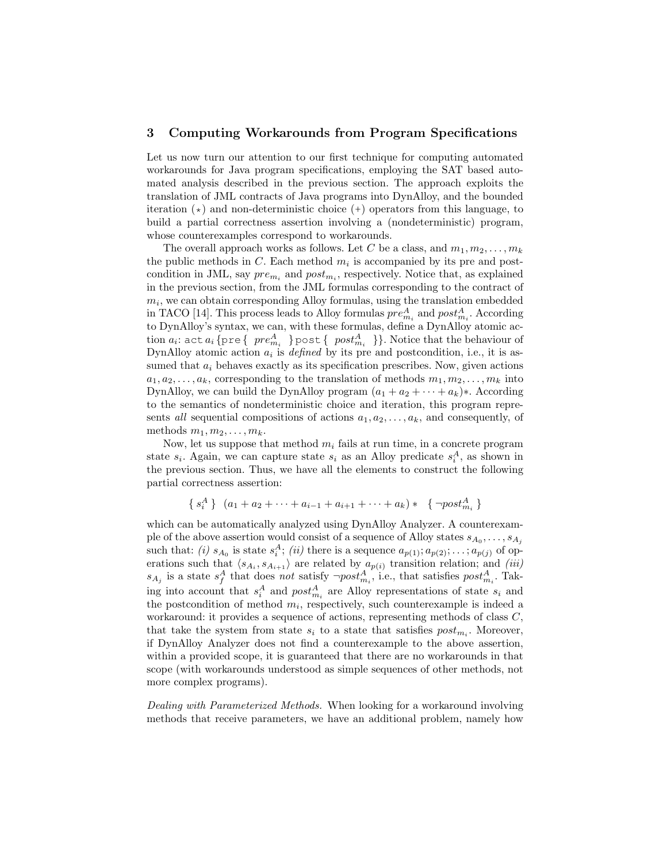# 3 Computing Workarounds from Program Specifications

Let us now turn our attention to our first technique for computing automated workarounds for Java program specifications, employing the SAT based automated analysis described in the previous section. The approach exploits the translation of JML contracts of Java programs into DynAlloy, and the bounded iteration  $(*)$  and non-deterministic choice  $(*)$  operators from this language, to build a partial correctness assertion involving a (nondeterministic) program, whose counterexamples correspond to workarounds.

The overall approach works as follows. Let C be a class, and  $m_1, m_2, \ldots, m_k$ the public methods in  $C$ . Each method  $m_i$  is accompanied by its pre and postcondition in JML, say  $pre_{m_i}$  and  $post_{m_i}$ , respectively. Notice that, as explained in the previous section, from the JML formulas corresponding to the contract of  $m_i$ , we can obtain corresponding Alloy formulas, using the translation embedded in TACO [14]. This process leads to Alloy formulas  $pre_{m_i}^A$  and  $post_{m_i}^A$ . According to DynAlloy's syntax, we can, with these formulas, define a DynAlloy atomic action  $a_i$ : act  $a_i$  {pre $\{ \text{ pre}^A_{m_i} \text{ } \}$ post {  $\text{ post}^A_{m_i} \text{ } \}$ }. Notice that the behaviour of DynAlloy atomic action  $a_i$  is *defined* by its pre and postcondition, i.e., it is assumed that  $a_i$  behaves exactly as its specification prescribes. Now, given actions  $a_1, a_2, \ldots, a_k$ , corresponding to the translation of methods  $m_1, m_2, \ldots, m_k$  into DynAlloy, we can build the DynAlloy program  $(a_1 + a_2 + \cdots + a_k)$ \*. According to the semantics of nondeterministic choice and iteration, this program represents all sequential compositions of actions  $a_1, a_2, \ldots, a_k$ , and consequently, of methods  $m_1, m_2, \ldots, m_k$ .

Now, let us suppose that method  $m_i$  fails at run time, in a concrete program state  $s_i$ . Again, we can capture state  $s_i$  as an Alloy predicate  $s_i^A$ , as shown in the previous section. Thus, we have all the elements to construct the following partial correctness assertion:

$$
\{s_i^A\} \ (a_1 + a_2 + \dots + a_{i-1} + a_{i+1} + \dots + a_k) * \ \{\neg post_{m_i}^A\}
$$

which can be automatically analyzed using DynAlloy Analyzer. A counterexample of the above assertion would consist of a sequence of Alloy states  $s_{A_0}, \ldots, s_{A_j}$ such that: (i)  $s_{A_0}$  is state  $s_i^A$ ; (ii) there is a sequence  $a_{p(1)}; a_{p(2)}; \ldots; a_{p(j)}$  of operations such that  $\langle s_{A_i}, s_{A_{i+1}} \rangle$  are related by  $a_{p(i)}$  transition relation; and *(iii)*  $s_{A_j}$  is a state  $s_f^A$  that does not satisfy  $\neg post_{m_i}^A$ , i.e., that satisfies  $post_{m_i}^A$ . Taking into account that  $s_i^A$  and  $post_{m_i}^A$  are Alloy representations of state  $s_i$  and the postcondition of method  $m_i$ , respectively, such counterexample is indeed a workaround: it provides a sequence of actions, representing methods of class C, that take the system from state  $s_i$  to a state that satisfies  $post_{m_i}$ . Moreover, if DynAlloy Analyzer does not find a counterexample to the above assertion, within a provided scope, it is guaranteed that there are no workarounds in that scope (with workarounds understood as simple sequences of other methods, not more complex programs).

Dealing with Parameterized Methods. When looking for a workaround involving methods that receive parameters, we have an additional problem, namely how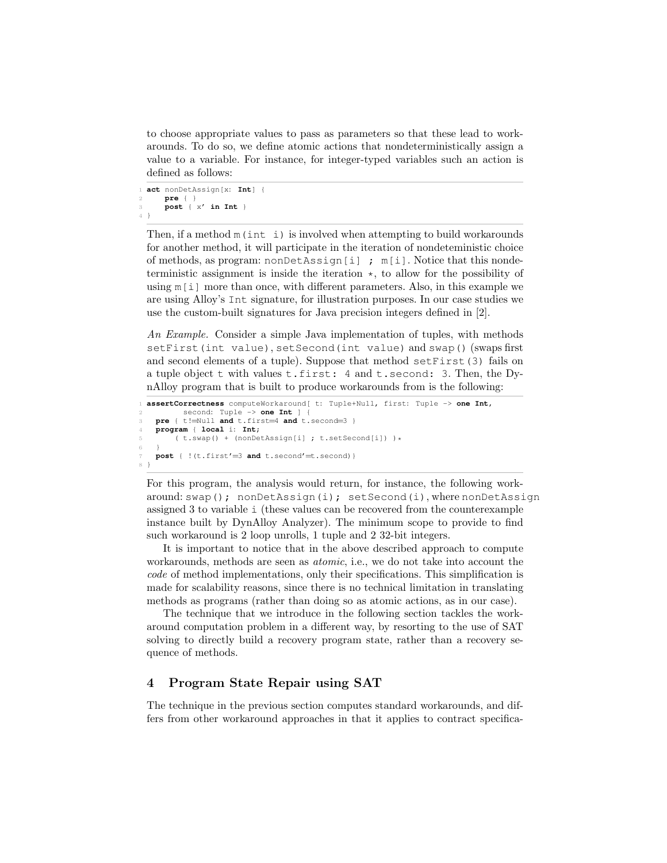to choose appropriate values to pass as parameters so that these lead to workarounds. To do so, we define atomic actions that nondeterministically assign a value to a variable. For instance, for integer-typed variables such an action is defined as follows:

```
1 act nonDetAssign[x: Int] {
      2 pre { }
      3 post { x' in Int }
4 }
```
Then, if a method  $m(int i)$  is involved when attempting to build workarounds for another method, it will participate in the iteration of nondeteministic choice of methods, as program: nonDetAssign[i] ;  $m[i]$ . Notice that this nondeterministic assignment is inside the iteration  $\star$ , to allow for the possibility of using m[i] more than once, with different parameters. Also, in this example we are using Alloy's Int signature, for illustration purposes. In our case studies we use the custom-built signatures for Java precision integers defined in [2].

An Example. Consider a simple Java implementation of tuples, with methods setFirst(int value), setSecond(int value) and swap() (swaps first and second elements of a tuple). Suppose that method setFirst(3) fails on a tuple object t with values  $t \text{.first: } 4$  and  $t \text{.second: } 3$ . Then, the DynAlloy program that is built to produce workarounds from is the following:

```
1 assertCorrectness computeWorkaround[ t: Tuple+Null, first: Tuple -> one Int,
          second: Tuple \rightarrow one Int \rightarrow {
   3 pre { t!=Null and t.first=4 and t.second=3 }
   4 program { local i: Int;
        (t.swap() + (nonDetAssign[i] ; t.setSecond[i]) )6 }
   post { !(t.first'=3 and t.second' = t.second) }
8 }
```
For this program, the analysis would return, for instance, the following workaround: swap(); nonDetAssign(i); setSecond(i), where nonDetAssign assigned 3 to variable i (these values can be recovered from the counterexample instance built by DynAlloy Analyzer). The minimum scope to provide to find such workaround is 2 loop unrolls, 1 tuple and 2 32-bit integers.

It is important to notice that in the above described approach to compute workarounds, methods are seen as atomic, i.e., we do not take into account the code of method implementations, only their specifications. This simplification is made for scalability reasons, since there is no technical limitation in translating methods as programs (rather than doing so as atomic actions, as in our case).

The technique that we introduce in the following section tackles the workaround computation problem in a different way, by resorting to the use of SAT solving to directly build a recovery program state, rather than a recovery sequence of methods.

# 4 Program State Repair using SAT

The technique in the previous section computes standard workarounds, and differs from other workaround approaches in that it applies to contract specifica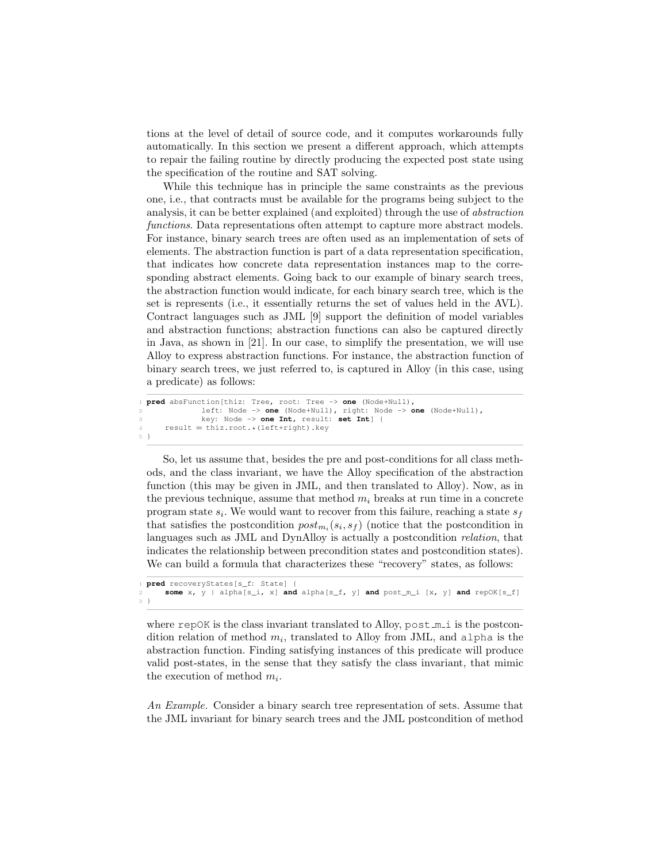tions at the level of detail of source code, and it computes workarounds fully automatically. In this section we present a different approach, which attempts to repair the failing routine by directly producing the expected post state using the specification of the routine and SAT solving.

While this technique has in principle the same constraints as the previous one, i.e., that contracts must be available for the programs being subject to the analysis, it can be better explained (and exploited) through the use of abstraction functions. Data representations often attempt to capture more abstract models. For instance, binary search trees are often used as an implementation of sets of elements. The abstraction function is part of a data representation specification, that indicates how concrete data representation instances map to the corresponding abstract elements. Going back to our example of binary search trees, the abstraction function would indicate, for each binary search tree, which is the set is represents (i.e., it essentially returns the set of values held in the AVL). Contract languages such as JML [9] support the definition of model variables and abstraction functions; abstraction functions can also be captured directly in Java, as shown in [21]. In our case, to simplify the presentation, we will use Alloy to express abstraction functions. For instance, the abstraction function of binary search trees, we just referred to, is captured in Alloy (in this case, using a predicate) as follows:

```
1 pred absFunction[thiz: Tree, root: Tree -> one (Node+Null),
              2 left: Node -> one (Node+Null), right: Node -> one (Node+Null),
              3 key: Node -> one Int, result: set Int] {
     result = this(root.*(left+right).key5 }
```
So, let us assume that, besides the pre and post-conditions for all class methods, and the class invariant, we have the Alloy specification of the abstraction function (this may be given in JML, and then translated to Alloy). Now, as in the previous technique, assume that method  $m_i$  breaks at run time in a concrete program state  $s_i$ . We would want to recover from this failure, reaching a state  $s_f$ that satisfies the postcondition  $post_{m_i}(s_i, s_f)$  (notice that the postcondition in languages such as JML and DynAlloy is actually a postcondition relation, that indicates the relationship between precondition states and postcondition states). We can build a formula that characterizes these "recovery" states, as follows:

```
pred recoveryStates[s_f: State] {
     2 some x, y | alpha[s_i, x] and alpha[s_f, y] and post_m_i [x, y] and repOK[s_f]
3 }
```
where  $r$ epOK is the class invariant translated to Alloy, post  $m_i$  is the postcondition relation of method  $m_i$ , translated to Alloy from JML, and alpha is the abstraction function. Finding satisfying instances of this predicate will produce valid post-states, in the sense that they satisfy the class invariant, that mimic the execution of method  $m_i$ .

An Example. Consider a binary search tree representation of sets. Assume that the JML invariant for binary search trees and the JML postcondition of method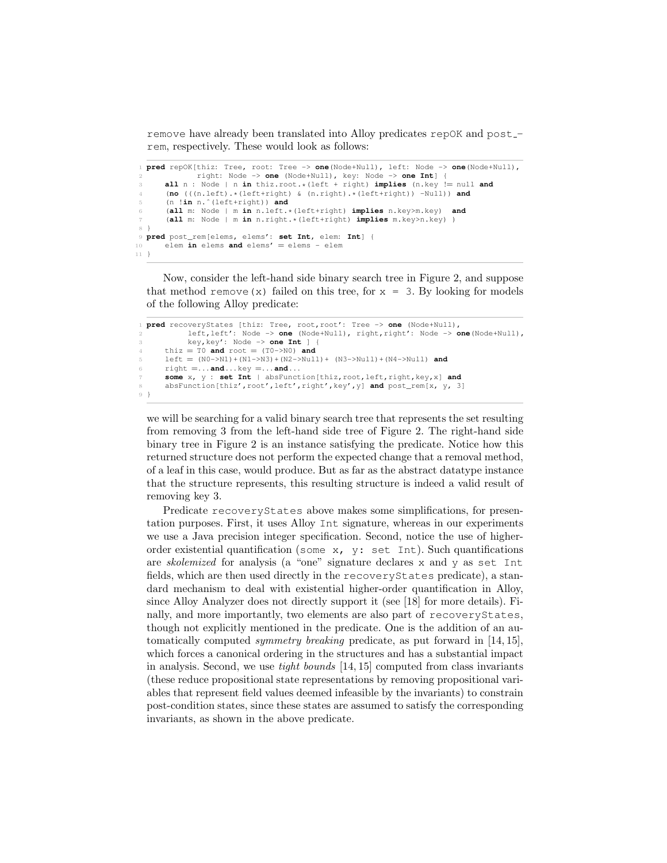remove have already been translated into Alloy predicates repOK and post rem, respectively. These would look as follows:

```
1 pred repOK[thiz: Tree, root: Tree -> one(Node+Null), left: Node -> one(Node+Null),
              2 right: Node -> one (Node+Null), key: Node -> one Int] {
       3 all n : Node | n in thiz.root.*(left + right) implies (n.key != null and
       4 (no (((n.left).*(left+right) & (n.right).*(left+right)) -Null)) and
       5 (n !in n.ˆ(left+right)) and
       6 (all m: Node | m in n.left.*(left+right) implies n.key>m.key) and
       7 (all m: Node | m in n.right.*(left+right) implies m.key>n.key) )
8 }
9 pred post_rem[elems, elems': set Int, elem: Int] {
10 elem in elems and elems' = elems - elem
11 }
```
Now, consider the left-hand side binary search tree in Figure 2, and suppose that method remove (x) failed on this tree, for  $x = 3$ . By looking for models of the following Alloy predicate:

```
1 pred recoveryStates [thiz: Tree, root,root': Tree -> one (Node+Null),
            2 left,left': Node -> one (Node+Null), right,right': Node -> one(Node+Null),
            3 key,key': Node -> one Int ] {
      \text{thiz} = \text{T0} and \text{root} = (\text{T0} - \text{NN0}) and
      left = (NO->N1)+(N1->N3)+(N2->Null)+(N3->Null)+(N4->Null) and
      right = \ldots and \ldots key = \ldots and \ldots7 some x, y : set Int | absFunction[thiz,root,left,right,key,x] and
8 absFunction[thiz', root', left', right', key', y] and post_rem[x, y, 3]
9 }
```
we will be searching for a valid binary search tree that represents the set resulting from removing 3 from the left-hand side tree of Figure 2. The right-hand side binary tree in Figure 2 is an instance satisfying the predicate. Notice how this returned structure does not perform the expected change that a removal method, of a leaf in this case, would produce. But as far as the abstract datatype instance that the structure represents, this resulting structure is indeed a valid result of removing key 3.

Predicate recoveryStates above makes some simplifications, for presentation purposes. First, it uses Alloy Int signature, whereas in our experiments we use a Java precision integer specification. Second, notice the use of higherorder existential quantification (some x, y: set Int). Such quantifications are skolemized for analysis (a "one" signature declares x and y as set Int fields, which are then used directly in the recoveryStates predicate), a standard mechanism to deal with existential higher-order quantification in Alloy, since Alloy Analyzer does not directly support it (see [18] for more details). Finally, and more importantly, two elements are also part of recoveryStates, though not explicitly mentioned in the predicate. One is the addition of an automatically computed symmetry breaking predicate, as put forward in [14, 15], which forces a canonical ordering in the structures and has a substantial impact in analysis. Second, we use tight bounds  $[14, 15]$  computed from class invariants (these reduce propositional state representations by removing propositional variables that represent field values deemed infeasible by the invariants) to constrain post-condition states, since these states are assumed to satisfy the corresponding invariants, as shown in the above predicate.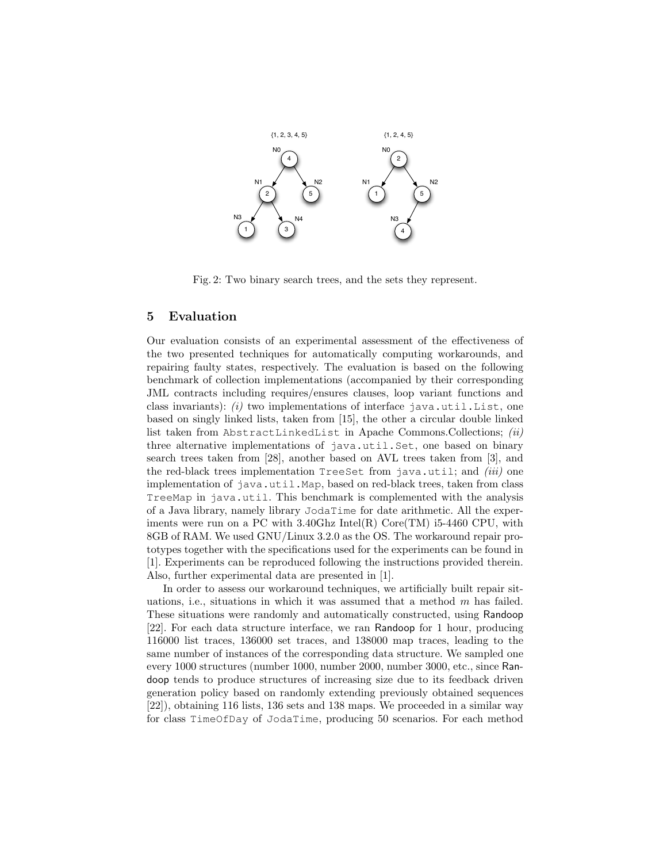

Fig. 2: Two binary search trees, and the sets they represent.

## 5 Evaluation

Our evaluation consists of an experimental assessment of the effectiveness of the two presented techniques for automatically computing workarounds, and repairing faulty states, respectively. The evaluation is based on the following benchmark of collection implementations (accompanied by their corresponding JML contracts including requires/ensures clauses, loop variant functions and class invariants): (i) two implementations of interface  $j$ ava.util.List, one based on singly linked lists, taken from [15], the other a circular double linked list taken from AbstractLinkedList in Apache Commons.Collections; (ii) three alternative implementations of java.util.Set, one based on binary search trees taken from [28], another based on AVL trees taken from [3], and the red-black trees implementation  $T$ reeSet from  $j$ ava.util; and  $(iii)$  one implementation of java.util.Map, based on red-black trees, taken from class TreeMap in java.util. This benchmark is complemented with the analysis of a Java library, namely library JodaTime for date arithmetic. All the experiments were run on a PC with  $3.40\text{Ghz Intel(R)}$  Core(TM) i5-4460 CPU, with 8GB of RAM. We used GNU/Linux 3.2.0 as the OS. The workaround repair prototypes together with the specifications used for the experiments can be found in [1]. Experiments can be reproduced following the instructions provided therein. Also, further experimental data are presented in [1].

In order to assess our workaround techniques, we artificially built repair situations, i.e., situations in which it was assumed that a method  $m$  has failed. These situations were randomly and automatically constructed, using Randoop [22]. For each data structure interface, we ran Randoop for 1 hour, producing 116000 list traces, 136000 set traces, and 138000 map traces, leading to the same number of instances of the corresponding data structure. We sampled one every 1000 structures (number 1000, number 2000, number 3000, etc., since Randoop tends to produce structures of increasing size due to its feedback driven generation policy based on randomly extending previously obtained sequences [22]), obtaining 116 lists, 136 sets and 138 maps. We proceeded in a similar way for class TimeOfDay of JodaTime, producing 50 scenarios. For each method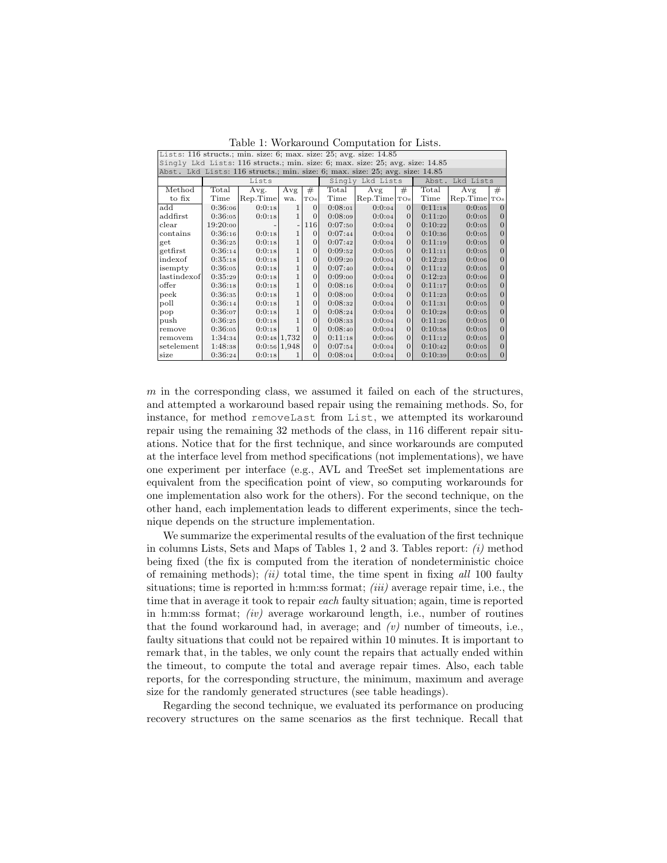| Lists: 116 structs.; min. size: 6; max. size: $25$ ; avg. size: $14.85$       |                                              |                |                |                |         |                            |          |         |                               |   |  |  |  |
|-------------------------------------------------------------------------------|----------------------------------------------|----------------|----------------|----------------|---------|----------------------------|----------|---------|-------------------------------|---|--|--|--|
| Singly Lkd Lists: 116 structs.; min. size: 6; max. size: 25; avg. size: 14.85 |                                              |                |                |                |         |                            |          |         |                               |   |  |  |  |
| Abst. Lkd Lists: 116 structs.; min. size: 6; max. size: 25; avg. size: 14.85  |                                              |                |                |                |         |                            |          |         |                               |   |  |  |  |
|                                                                               | Singly Lkd Lists<br>Lists<br>Abst. Lkd Lists |                |                |                |         |                            |          |         |                               |   |  |  |  |
| Method                                                                        | Total                                        | Avg.           | Avg            | #              | Total   | Avg                        | #        | Total   | Avg                           | # |  |  |  |
| to fix                                                                        | Time                                         | Rep.Time       | wa.            | TOs            | Time    | Rep. Time   <sub>TOs</sub> |          | Time    | $\operatorname{Rep.Time}$ TOs |   |  |  |  |
| add                                                                           | 0:36:06                                      | 0:0:18         |                | $\Omega$       | 0:08:01 | 0:0:04                     | $\Omega$ | 0:11:18 | 0:0:05                        |   |  |  |  |
| addfirst                                                                      | 0:36:05                                      | 0:0:18         |                | 0              | 0:08:09 | 0:0:04                     | $\Omega$ | 0:11:20 | 0:0:05                        |   |  |  |  |
| $_{\rm clear}$                                                                | 19:20:00                                     |                |                | 116            | 0:07:50 | 0:0:04                     | $\Omega$ | 0:10:22 | 0:0:05                        |   |  |  |  |
| contains                                                                      | 0:36:16                                      | 0:0:18         |                | $\Omega$       | 0:07:44 | 0:0:04                     | $\Omega$ | 0:10:36 | 0:0:05                        |   |  |  |  |
| get                                                                           | 0:36:25                                      | 0:0:18         | 1              | $\Omega$       | 0:07:42 | 0:0:04                     | $\Omega$ | 0:11:19 | 0:0:05                        |   |  |  |  |
| getfirst                                                                      | 0:36:14                                      | 0:0:18         |                | $\Omega$       | 0:09:52 | 0:0:05                     | $\Omega$ | 0:11:11 | 0:0:05                        |   |  |  |  |
| indexof                                                                       | 0:35:18                                      | 0:0:18         | $\mathbf{1}$   | $\overline{0}$ | 0:09:20 | 0:0:04                     | $\theta$ | 0:12:23 | 0:0:06                        |   |  |  |  |
| isempty                                                                       | 0:36:05                                      | 0:0:18         | $\overline{1}$ | $\theta$       | 0:07:40 | 0:0:04                     | $\theta$ | 0:11:12 | 0:0:05                        |   |  |  |  |
| lastindexof                                                                   | 0:35:29                                      | 0:0:18         | $\overline{1}$ | $\theta$       | 0:09:00 | 0:0:04                     | $\theta$ | 0:12:23 | 0:0:06                        |   |  |  |  |
| offer                                                                         | 0:36:18                                      | 0:0:18         | $\mathbf{1}$   | $\theta$       | 0:08:16 | 0:0:04                     | $\theta$ | 0:11:17 | 0:0:05                        |   |  |  |  |
| $_{\rm{peak}}$                                                                | 0:36:35                                      | 0:0:18         | $\overline{1}$ | $\Omega$       | 0:08:00 | 0:0:04                     | $\Omega$ | 0:11:23 | 0:0:05                        |   |  |  |  |
| poll                                                                          | 0:36:14                                      | 0:0:18         | $\overline{1}$ | $\theta$       | 0:08:32 | 0:0:04                     | $\Omega$ | 0:11:31 | 0:0:05                        |   |  |  |  |
| pop                                                                           | 0:36:07                                      | 0:0:18         | 1              | $\Omega$       | 0:08:24 | 0:0:04                     | $\Omega$ | 0:10:28 | 0:0:05                        |   |  |  |  |
| push                                                                          | 0:36:25                                      | 0:0:18         |                | $\theta$       | 0:08:33 | 0:0:04                     | $\Omega$ | 0:11:26 | 0:0:05                        |   |  |  |  |
| remove                                                                        | 0:36:05                                      | 0:0:18         |                | $\Omega$       | 0:08:40 | 0:0:04                     | $\Omega$ | 0:10:58 | 0:0:05                        |   |  |  |  |
| removem                                                                       | 1:34:34                                      | $0:0:48$ 1,732 |                | $\Omega$       | 0:11:18 | 0:0:06                     | $\Omega$ | 0:11:12 | 0:0:05                        |   |  |  |  |
| setelement                                                                    | 1:48:38                                      | 0:0:56 1,948   |                | $\Omega$       | 0:07:54 | 0:0:04                     | $\Omega$ | 0:10:42 | 0:0:05                        |   |  |  |  |
| size                                                                          | 0:36:24                                      | 0:0:18         |                | 0              | 0:08:04 | 0:0:04                     | $\Omega$ | 0:10:39 | 0:0:05                        |   |  |  |  |

Table 1: Workaround Computation for Lists.

 $m$  in the corresponding class, we assumed it failed on each of the structures, and attempted a workaround based repair using the remaining methods. So, for instance, for method removeLast from List, we attempted its workaround repair using the remaining 32 methods of the class, in 116 different repair situations. Notice that for the first technique, and since workarounds are computed at the interface level from method specifications (not implementations), we have one experiment per interface (e.g., AVL and TreeSet set implementations are equivalent from the specification point of view, so computing workarounds for one implementation also work for the others). For the second technique, on the other hand, each implementation leads to different experiments, since the technique depends on the structure implementation.

We summarize the experimental results of the evaluation of the first technique in columns Lists, Sets and Maps of Tables 1, 2 and 3. Tables report:  $(i)$  method being fixed (the fix is computed from the iteration of nondeterministic choice of remaining methods); (ii) total time, the time spent in fixing all 100 faulty situations; time is reported in h:mm:ss format; *(iii)* average repair time, i.e., the time that in average it took to repair each faulty situation; again, time is reported in h:mm:ss format; (iv) average workaround length, i.e., number of routines that the found workaround had, in average; and  $(v)$  number of timeouts, i.e., faulty situations that could not be repaired within 10 minutes. It is important to remark that, in the tables, we only count the repairs that actually ended within the timeout, to compute the total and average repair times. Also, each table reports, for the corresponding structure, the minimum, maximum and average size for the randomly generated structures (see table headings).

Regarding the second technique, we evaluated its performance on producing recovery structures on the same scenarios as the first technique. Recall that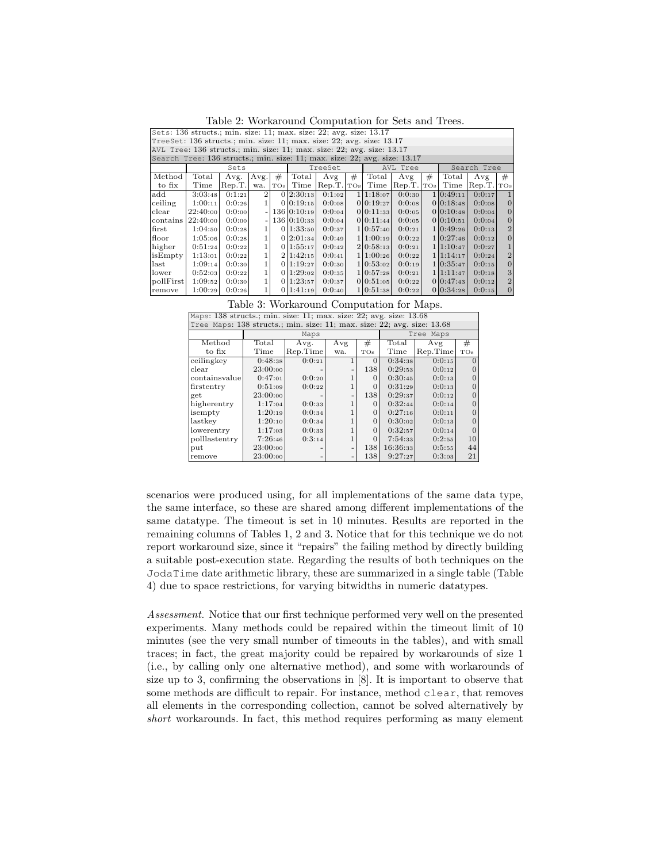Table 2: Workaround Computation for Sets and Trees.

| Sets: $136$ structs.; min. size: 11; max. size: $22$ ; avg. size: $13.17$ |          |                         |                |   |                               |                    |             |           |                |   |           |              |                |
|---------------------------------------------------------------------------|----------|-------------------------|----------------|---|-------------------------------|--------------------|-------------|-----------|----------------|---|-----------|--------------|----------------|
| TreeSet: 136 structs.; min. size: 11; max. size: 22; avg. size: 13.17     |          |                         |                |   |                               |                    |             |           |                |   |           |              |                |
| AVL Tree: 136 structs.; min. size: 11; max. size: 22; avg. size: 13.17    |          |                         |                |   |                               |                    |             |           |                |   |           |              |                |
| Search Tree: 136 structs.; min. size: 11; max. size: 22; avg. size: 13.17 |          |                         |                |   |                               |                    |             |           |                |   |           |              |                |
|                                                                           | TreeSet  |                         |                |   | AVL Tree                      |                    | Search Tree |           |                |   |           |              |                |
| Method                                                                    | Total    | Avg.                    | Avg.           | # | Total                         | Avg                | #           | Total     | Avg            | # | Total     | Avg          | #              |
| to fix                                                                    | Time     | $\operatorname{Rep} T.$ | wa.            |   | $\vert \text{Tos} \vert$ Time | $[Rep.T.]$ TOs $]$ |             | Time      | $[Rep.T.]$ TOs |   | Time      | $Rep.T.$ TOs |                |
| add                                                                       | 3:03:48  | 0:1:21                  | $\overline{2}$ |   | 0 2:30:13                     | 0:1:02             |             | 1 1:18:07 | 0:0:30         |   | 1 0.49:11 | 0:0:17       |                |
| ceiling                                                                   | 1:00:11  | 0:0:26                  | $\mathbf{1}$   |   | 0 0:19:15                     | 0:0:08             |             | 0 0:19:27 | 0:0:08         |   | 0 0:18:48 | 0:0:08       | $\theta$       |
| clear                                                                     | 22:40:00 | 0:0:00                  | $-1$           |   | 136 0:10:19                   | 0:0:04             |             | 0 0:11:33 | 0:0:05         |   | 0 0:10:48 | 0:0:04       | $\theta$       |
| contains $ 22:40:00 $                                                     |          | 0:0:00                  |                |   | 136 0:10:33                   | 0:0:04             |             | 0 0:11:44 | 0:0:05         |   | 0 0:10:51 | 0:0:04       | $\mathbf{0}$   |
| first                                                                     | 1:04:50  | 0:0:28                  |                |   | 0 1:33:50                     | 0:0:37             |             | 1 0:57:40 | 0:0:21         |   | 1 0.49:26 | 0:0:13       | $\overline{2}$ |
| floor                                                                     | 1:05:06  | 0:0:28                  |                |   | 0 2:01:34                     | 0:0:49             |             | 1 1:00:19 | 0:0:22         |   | 1 0.27:46 | 0:0:12       | $\theta$       |
| higher                                                                    | 0:51:24  | 0:0:22                  |                |   | 0 1:55:17                     | 0:0:42             |             | 2 0.58:13 | 0:0:21         |   | 1 1:10:47 | 0:0:27       |                |
| isEmpty                                                                   | 1:13:01  | 0:0:22                  |                |   | 2 1:42:15                     | 0:0:41             |             | 1 1:00:26 | 0:0:22         |   | 1 1:14:17 | 0:0:24       | $\overline{2}$ |
| $_{\rm last}$                                                             | 1:09:14  | 0:0:30                  |                |   | 0 1:19:27                     | 0:0:30             |             | 1 0.53:02 | 0:0:19         |   | 1 0:35:47 | 0:0:15       | $\overline{0}$ |
| lower                                                                     | 0:52:03  | 0:0:22                  |                |   | 0 1:29:02                     | 0:0:35             |             | 1 0.57:28 | 0:0:21         |   | 1 1:11:47 | 0:0:18       | 3              |
| pollFirst                                                                 | 1:09:52  | 0:0:30                  |                |   | 0 1:23:57                     | 0:0:37             |             | 0 0:51:05 | 0:0:22         |   | 0 0:47:43 | 0:0:12       | $\,2$          |
| remove                                                                    | 1:00:29  | 0:0:26                  |                |   | 0 1:41:19                     | 0:0:40             |             | 1 0:51:38 | 0:0:22         |   | 0 0:34:28 | 0:0:15       | $\overline{0}$ |

Table 3: Workaround Computation for Maps.

| rable of workeround computation for mapp.                                      |          |          |           |          |          |          |                |  |  |  |  |
|--------------------------------------------------------------------------------|----------|----------|-----------|----------|----------|----------|----------------|--|--|--|--|
| Maps: 138 structs.; min. size: 11; max. size: 22; avg. size: 13.68             |          |          |           |          |          |          |                |  |  |  |  |
| Tree Maps: $138$ structs.; min. size: 11; max. size: $22$ ; avg. size: $13.68$ |          |          |           |          |          |          |                |  |  |  |  |
|                                                                                |          | Maps     | Tree Maps |          |          |          |                |  |  |  |  |
| Method                                                                         | Total    | Avg.     | Avg       | #        | Total    | Avg      | #              |  |  |  |  |
| to fix                                                                         | Time     | Rep.Time | wa.       | TOs      | Time     | Rep.Time | TOs            |  |  |  |  |
| ceilingkey                                                                     | 0:48:38  | 0:0:21   |           | $\Omega$ | 0:34:38  | 0:0:15   | 0              |  |  |  |  |
| clear                                                                          | 23:00:00 |          |           | 138      | 0:29:53  | 0:0:12   | $\Omega$       |  |  |  |  |
| containsvalue                                                                  | 0:47:01  | 0:0:20   |           |          | 0:30:45  | 0:0:13   | $\Omega$       |  |  |  |  |
| firstentry                                                                     | 0:51:09  | 0:0:22   |           | O        | 0:31:29  | 0:0:13   | $\overline{0}$ |  |  |  |  |
| get                                                                            | 23:00:00 |          |           | 138      | 0:29:37  | 0:0:12   | $\overline{0}$ |  |  |  |  |
| higherentry                                                                    | 1:17:04  | 0:0:33   |           |          | 0:32:44  | 0:0:14   | $\overline{0}$ |  |  |  |  |
| isempty                                                                        | 1:20:19  | 0:0:34   |           | $\Omega$ | 0:27:16  | 0:0:11   | $\overline{0}$ |  |  |  |  |
| lastkey                                                                        | 1:20:10  | 0:0:34   |           | $\Omega$ | 0:30:02  | 0:0:13   | $\Omega$       |  |  |  |  |
| lowerentry                                                                     | 1:17:03  | 0:0:33   |           | $\Omega$ | 0:32:57  | 0:0:14   | $\Omega$       |  |  |  |  |
| polllastentry                                                                  | 7:26:46  | 0:3:14   |           | $\Omega$ | 7:54:33  | 0:2:55   | 10             |  |  |  |  |
| put                                                                            | 23:00:00 |          |           | 138      | 16:36:33 | 0:5:55   | 44             |  |  |  |  |
| remove                                                                         | 23:00:00 |          |           | 138      | 9:27:27  | 0:3:03   | 21             |  |  |  |  |

scenarios were produced using, for all implementations of the same data type, the same interface, so these are shared among different implementations of the same datatype. The timeout is set in 10 minutes. Results are reported in the remaining columns of Tables 1, 2 and 3. Notice that for this technique we do not report workaround size, since it "repairs" the failing method by directly building a suitable post-execution state. Regarding the results of both techniques on the JodaTime date arithmetic library, these are summarized in a single table (Table 4) due to space restrictions, for varying bitwidths in numeric datatypes.

Assessment. Notice that our first technique performed very well on the presented experiments. Many methods could be repaired within the timeout limit of 10 minutes (see the very small number of timeouts in the tables), and with small traces; in fact, the great majority could be repaired by workarounds of size 1 (i.e., by calling only one alternative method), and some with workarounds of size up to 3, confirming the observations in [8]. It is important to observe that some methods are difficult to repair. For instance, method clear, that removes all elements in the corresponding collection, cannot be solved alternatively by short workarounds. In fact, this method requires performing as many element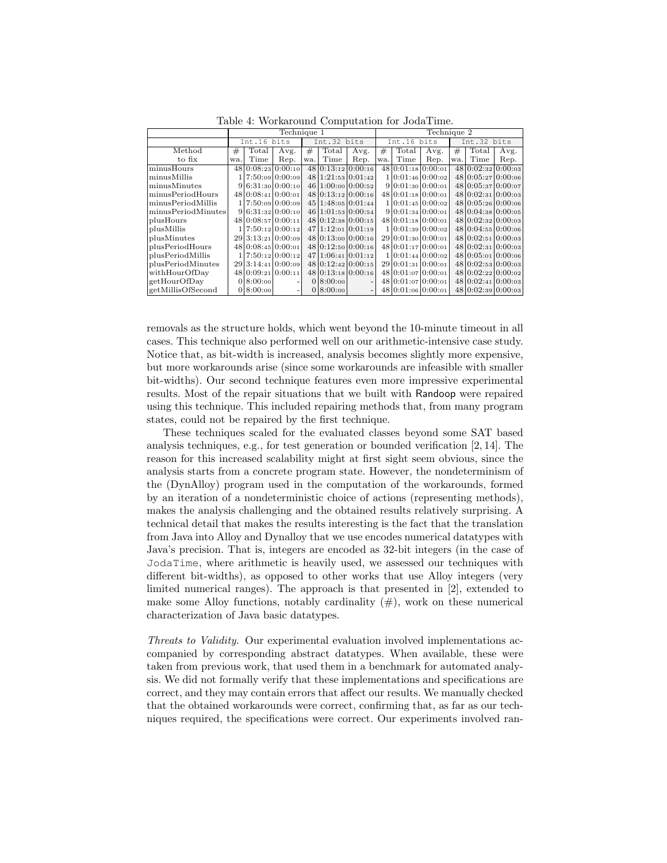|                    | Technique 1 |                    |      |             |                    |                          | Technique 2 |                    |      |             |       |                    |  |
|--------------------|-------------|--------------------|------|-------------|--------------------|--------------------------|-------------|--------------------|------|-------------|-------|--------------------|--|
|                    |             | Int.16 bits        |      | Int.32 bits |                    |                          | Int.16 bits |                    |      | Int.32 bits |       |                    |  |
| Method             | #           | $_{\rm Total}$     | Avg. | #           | Total              | Avg.                     | #           | $_{\rm Total}$     | Avg. | #           | Total | Avg.               |  |
| to fix             | wa.         | Time               | Rep. | wa.         | Time               | Rep.                     | wa.         | Time               | Rep. | wa.         | Time  | Rep.               |  |
| minusHours         |             | 48 0:08:23 0:00:10 |      |             | 48 0:13:12 0:00:16 |                          |             | 48 0:01:18 0:00:01 |      |             |       | 48 0:02:32 0:00:03 |  |
| minusMillis        |             | 1 7:50:09 0:00:09  |      |             | 48 1:21:53 0:01:42 |                          |             | 1 0:01:46 0:00:02  |      |             |       | 48 0:05:27 0:00:06 |  |
| minusMinutes       |             | 9 6:31:30 0:00:10  |      |             | 46 1:00:00 0:00:52 |                          |             | 9 0:01:30 0:00:01  |      |             |       | 48 0:05:37 0:00:07 |  |
| minusPeriodHours   |             | 48 0:08:41 0:00:01 |      |             | 48 0:13:12 0:00:16 |                          |             | 48 0:01:18 0:00:01 |      |             |       | 48 0:02:31 0:00:03 |  |
| minusPeriodMillis  |             | 1 7:50:09 0:00:09  |      |             | 45 1:48:05 0:01:44 |                          |             | 1 0:01:45 0:00:02  |      |             |       | 48 0:05:26 0:00:06 |  |
| minusPeriodMinutes |             | 9 6:31:32 0:00:10  |      |             | 46 1:01:53 0:00:54 |                          |             | 9 0:01:34 0:00:01  |      |             |       | 48 0:04:38 0:00:05 |  |
| plusHours          |             | 48 0:08:57 0:00:11 |      |             | 48 0.12:38 0.00:15 |                          |             | 48 0:01:18 0:00:01 |      |             |       | 48 0:02:32 0:00:03 |  |
| plusMillis         |             | 1 7:50:12 0:00:12  |      |             | 47 1:12:01 0:01:19 |                          |             | 1 0:01:39 0:00:02  |      |             |       | 48 0:04:55 0:00:06 |  |
| plusMinutes        |             | 29 3:13:21 0:00:09 |      |             | 48 0:13:00 0:00:16 |                          |             | 29 0:01:30 0:00:01 |      |             |       | 48 0:02:51 0:00:03 |  |
| plusPeriodHours    |             | 48 0:08:45 0:00:01 |      |             | 48 0.12:50 0.00:16 |                          |             | 48 0:01:17 0:00:01 |      |             |       | 48 0:02:31 0:00:03 |  |
| plusPeriodMillis   |             | 1 7:50:12 0:00:12  |      |             | 47 1:06:41 0:01:12 |                          |             | 1 0:01:44 0:00:02  |      |             |       | 48 0:05:01 0:00:06 |  |
| plusPeriodMinutes  |             | 29 3:14:41 0:00:09 |      |             | 48 0.12:42 0.00:15 |                          |             | 29 0:01:31 0:00:01 |      |             |       | 48 0:02:53 0:00:03 |  |
| withHourOfDay      |             | 48 0:09:21 0:00:11 |      |             | 48 0.13:18 0.00:16 |                          |             | 48 0:01:07 0:00:01 |      |             |       | 48 0:02:22 0:00:02 |  |
| getHourOfDay       |             | 0 8:00:00          |      |             | 0 8:00:00          | $\overline{\phantom{a}}$ |             | 48 0:01:07 0:00:01 |      |             |       | 48 0:02:41 0:00:03 |  |
| getMillisOfSecond  |             | 018:00:00          |      |             | 0 8:00:00          | $\overline{\phantom{a}}$ |             | 48 0:01:06 0:00:01 |      |             |       | 48 0:02:39 0:00:03 |  |

Table 4: Workaround Computation for JodaTime.

removals as the structure holds, which went beyond the 10-minute timeout in all cases. This technique also performed well on our arithmetic-intensive case study. Notice that, as bit-width is increased, analysis becomes slightly more expensive, but more workarounds arise (since some workarounds are infeasible with smaller bit-widths). Our second technique features even more impressive experimental results. Most of the repair situations that we built with Randoop were repaired using this technique. This included repairing methods that, from many program states, could not be repaired by the first technique.

These techniques scaled for the evaluated classes beyond some SAT based analysis techniques, e.g., for test generation or bounded verification [2, 14]. The reason for this increased scalability might at first sight seem obvious, since the analysis starts from a concrete program state. However, the nondeterminism of the (DynAlloy) program used in the computation of the workarounds, formed by an iteration of a nondeterministic choice of actions (representing methods), makes the analysis challenging and the obtained results relatively surprising. A technical detail that makes the results interesting is the fact that the translation from Java into Alloy and Dynalloy that we use encodes numerical datatypes with Java's precision. That is, integers are encoded as 32-bit integers (in the case of JodaTime, where arithmetic is heavily used, we assessed our techniques with different bit-widths), as opposed to other works that use Alloy integers (very limited numerical ranges). The approach is that presented in [2], extended to make some Alloy functions, notably cardinality  $(\#)$ , work on these numerical characterization of Java basic datatypes.

Threats to Validity. Our experimental evaluation involved implementations accompanied by corresponding abstract datatypes. When available, these were taken from previous work, that used them in a benchmark for automated analysis. We did not formally verify that these implementations and specifications are correct, and they may contain errors that affect our results. We manually checked that the obtained workarounds were correct, confirming that, as far as our techniques required, the specifications were correct. Our experiments involved ran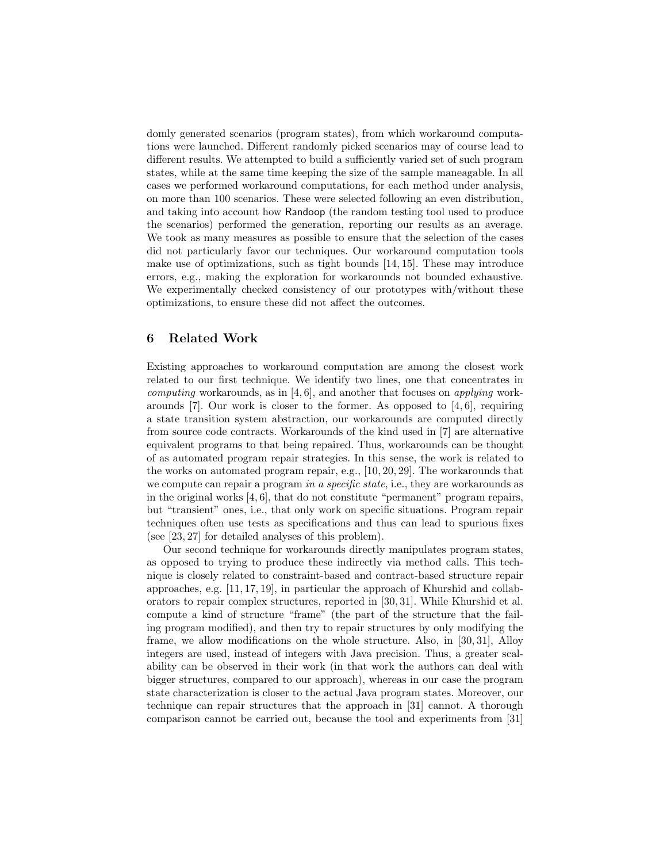domly generated scenarios (program states), from which workaround computations were launched. Different randomly picked scenarios may of course lead to different results. We attempted to build a sufficiently varied set of such program states, while at the same time keeping the size of the sample maneagable. In all cases we performed workaround computations, for each method under analysis, on more than 100 scenarios. These were selected following an even distribution, and taking into account how Randoop (the random testing tool used to produce the scenarios) performed the generation, reporting our results as an average. We took as many measures as possible to ensure that the selection of the cases did not particularly favor our techniques. Our workaround computation tools make use of optimizations, such as tight bounds [14, 15]. These may introduce errors, e.g., making the exploration for workarounds not bounded exhaustive. We experimentally checked consistency of our prototypes with/without these optimizations, to ensure these did not affect the outcomes.

## 6 Related Work

Existing approaches to workaround computation are among the closest work related to our first technique. We identify two lines, one that concentrates in *computing* workarounds, as in [4, 6], and another that focuses on *applying* workarounds [7]. Our work is closer to the former. As opposed to  $[4, 6]$ , requiring a state transition system abstraction, our workarounds are computed directly from source code contracts. Workarounds of the kind used in [7] are alternative equivalent programs to that being repaired. Thus, workarounds can be thought of as automated program repair strategies. In this sense, the work is related to the works on automated program repair, e.g., [10, 20, 29]. The workarounds that we compute can repair a program in a specific state, i.e., they are workarounds as in the original works  $[4, 6]$ , that do not constitute "permanent" program repairs, but "transient" ones, i.e., that only work on specific situations. Program repair techniques often use tests as specifications and thus can lead to spurious fixes (see [23, 27] for detailed analyses of this problem).

Our second technique for workarounds directly manipulates program states, as opposed to trying to produce these indirectly via method calls. This technique is closely related to constraint-based and contract-based structure repair approaches, e.g. [11, 17, 19], in particular the approach of Khurshid and collaborators to repair complex structures, reported in [30, 31]. While Khurshid et al. compute a kind of structure "frame" (the part of the structure that the failing program modified), and then try to repair structures by only modifying the frame, we allow modifications on the whole structure. Also, in [30, 31], Alloy integers are used, instead of integers with Java precision. Thus, a greater scalability can be observed in their work (in that work the authors can deal with bigger structures, compared to our approach), whereas in our case the program state characterization is closer to the actual Java program states. Moreover, our technique can repair structures that the approach in [31] cannot. A thorough comparison cannot be carried out, because the tool and experiments from [31]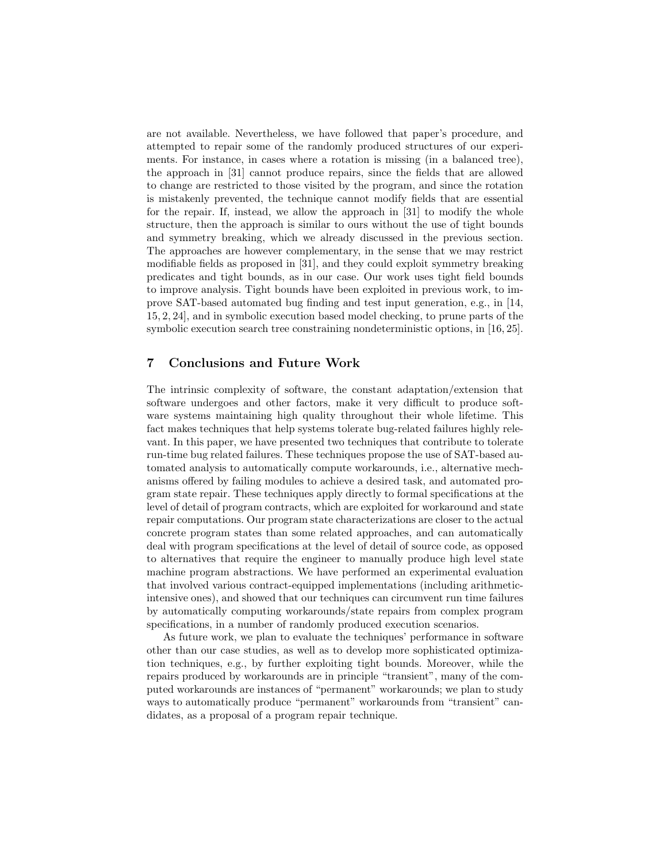are not available. Nevertheless, we have followed that paper's procedure, and attempted to repair some of the randomly produced structures of our experiments. For instance, in cases where a rotation is missing (in a balanced tree), the approach in [31] cannot produce repairs, since the fields that are allowed to change are restricted to those visited by the program, and since the rotation is mistakenly prevented, the technique cannot modify fields that are essential for the repair. If, instead, we allow the approach in [31] to modify the whole structure, then the approach is similar to ours without the use of tight bounds and symmetry breaking, which we already discussed in the previous section. The approaches are however complementary, in the sense that we may restrict modifiable fields as proposed in [31], and they could exploit symmetry breaking predicates and tight bounds, as in our case. Our work uses tight field bounds to improve analysis. Tight bounds have been exploited in previous work, to improve SAT-based automated bug finding and test input generation, e.g., in [14, 15, 2, 24], and in symbolic execution based model checking, to prune parts of the symbolic execution search tree constraining nondeterministic options, in [16, 25].

## 7 Conclusions and Future Work

The intrinsic complexity of software, the constant adaptation/extension that software undergoes and other factors, make it very difficult to produce software systems maintaining high quality throughout their whole lifetime. This fact makes techniques that help systems tolerate bug-related failures highly relevant. In this paper, we have presented two techniques that contribute to tolerate run-time bug related failures. These techniques propose the use of SAT-based automated analysis to automatically compute workarounds, i.e., alternative mechanisms offered by failing modules to achieve a desired task, and automated program state repair. These techniques apply directly to formal specifications at the level of detail of program contracts, which are exploited for workaround and state repair computations. Our program state characterizations are closer to the actual concrete program states than some related approaches, and can automatically deal with program specifications at the level of detail of source code, as opposed to alternatives that require the engineer to manually produce high level state machine program abstractions. We have performed an experimental evaluation that involved various contract-equipped implementations (including arithmeticintensive ones), and showed that our techniques can circumvent run time failures by automatically computing workarounds/state repairs from complex program specifications, in a number of randomly produced execution scenarios.

As future work, we plan to evaluate the techniques' performance in software other than our case studies, as well as to develop more sophisticated optimization techniques, e.g., by further exploiting tight bounds. Moreover, while the repairs produced by workarounds are in principle "transient", many of the computed workarounds are instances of "permanent" workarounds; we plan to study ways to automatically produce "permanent" workarounds from "transient" candidates, as a proposal of a program repair technique.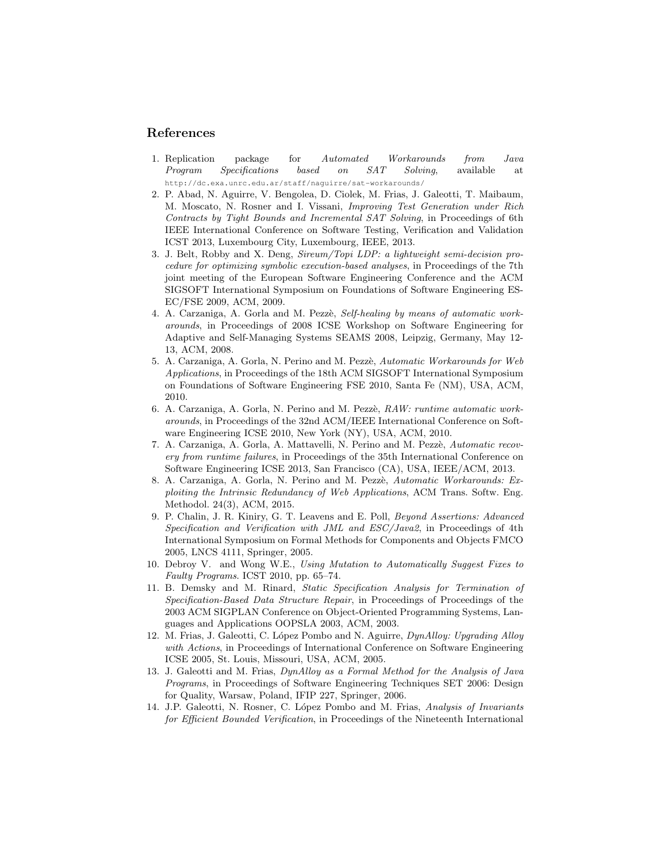## References

- 1. Replication package for Automated Workarounds from Java Program Specifications based on SAT Solving, available at http://dc.exa.unrc.edu.ar/staff/naguirre/sat-workarounds/
- 2. P. Abad, N. Aguirre, V. Bengolea, D. Ciolek, M. Frias, J. Galeotti, T. Maibaum, M. Moscato, N. Rosner and I. Vissani, Improving Test Generation under Rich Contracts by Tight Bounds and Incremental SAT Solving, in Proceedings of 6th IEEE International Conference on Software Testing, Verification and Validation ICST 2013, Luxembourg City, Luxembourg, IEEE, 2013.
- 3. J. Belt, Robby and X. Deng, Sireum/Topi LDP: a lightweight semi-decision procedure for optimizing symbolic execution-based analyses, in Proceedings of the 7th joint meeting of the European Software Engineering Conference and the ACM SIGSOFT International Symposium on Foundations of Software Engineering ES-EC/FSE 2009, ACM, 2009.
- 4. A. Carzaniga, A. Gorla and M. Pezzè, Self-healing by means of automatic workarounds, in Proceedings of 2008 ICSE Workshop on Software Engineering for Adaptive and Self-Managing Systems SEAMS 2008, Leipzig, Germany, May 12- 13, ACM, 2008.
- 5. A. Carzaniga, A. Gorla, N. Perino and M. Pezzè, Automatic Workarounds for Web Applications, in Proceedings of the 18th ACM SIGSOFT International Symposium on Foundations of Software Engineering FSE 2010, Santa Fe (NM), USA, ACM, 2010.
- 6. A. Carzaniga, A. Gorla, N. Perino and M. Pezzè,  $RAW:$  runtime automatic workarounds, in Proceedings of the 32nd ACM/IEEE International Conference on Software Engineering ICSE 2010, New York (NY), USA, ACM, 2010.
- 7. A. Carzaniga, A. Gorla, A. Mattavelli, N. Perino and M. Pezzè, Automatic recovery from runtime failures, in Proceedings of the 35th International Conference on Software Engineering ICSE 2013, San Francisco (CA), USA, IEEE/ACM, 2013.
- 8. A. Carzaniga, A. Gorla, N. Perino and M. Pezzè, Automatic Workarounds: Exploiting the Intrinsic Redundancy of Web Applications, ACM Trans. Softw. Eng. Methodol. 24(3), ACM, 2015.
- 9. P. Chalin, J. R. Kiniry, G. T. Leavens and E. Poll, Beyond Assertions: Advanced Specification and Verification with JML and ESC/Java2, in Proceedings of 4th International Symposium on Formal Methods for Components and Objects FMCO 2005, LNCS 4111, Springer, 2005.
- 10. Debroy V. and Wong W.E., Using Mutation to Automatically Suggest Fixes to Faulty Programs. ICST 2010, pp. 65–74.
- 11. B. Demsky and M. Rinard, Static Specification Analysis for Termination of Specification-Based Data Structure Repair, in Proceedings of Proceedings of the 2003 ACM SIGPLAN Conference on Object-Oriented Programming Systems, Languages and Applications OOPSLA 2003, ACM, 2003.
- 12. M. Frias, J. Galeotti, C. López Pombo and N. Aguirre, *DynAlloy: Upgrading Alloy* with Actions, in Proceedings of International Conference on Software Engineering ICSE 2005, St. Louis, Missouri, USA, ACM, 2005.
- 13. J. Galeotti and M. Frias, DynAlloy as a Formal Method for the Analysis of Java Programs, in Proceedings of Software Engineering Techniques SET 2006: Design for Quality, Warsaw, Poland, IFIP 227, Springer, 2006.
- 14. J.P. Galeotti, N. Rosner, C. López Pombo and M. Frias, Analysis of Invariants for Efficient Bounded Verification, in Proceedings of the Nineteenth International